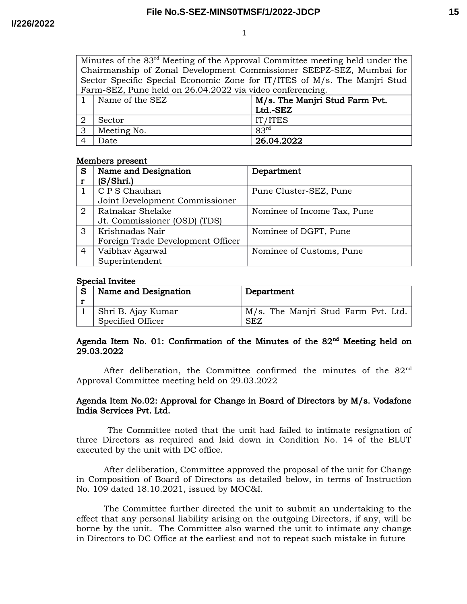1

Minutes of the 83rd Meeting of the Approval Committee meeting held under the Chairmanship of Zonal Development Commissioner SEEPZ-SEZ, Mumbai for Sector Specific Special Economic Zone for IT/ITES of M/s. The Manjri Stud Farm-SEZ, Pune held on 26.04.2022 via video conferencing.

| Name of the SEZ | M/s. The Manjri Stud Farm Pvt. |  |
|-----------------|--------------------------------|--|
|                 | Ltd.-SEZ                       |  |
| Sector          | IT/ITES                        |  |
| Meeting No.     | R <sub>3rd</sub>               |  |
| Date            | 26.04.2022                     |  |

## Members present

| S | Name and Designation              | Department                  |
|---|-----------------------------------|-----------------------------|
| r | (S/Shri.)                         |                             |
|   | C P S Chauhan                     | Pune Cluster-SEZ, Pune      |
|   | Joint Development Commissioner    |                             |
| 2 | Ratnakar Shelake                  | Nominee of Income Tax, Pune |
|   | Jt. Commissioner (OSD) (TDS)      |                             |
| 3 | Krishnadas Nair                   | Nominee of DGFT, Pune       |
|   | Foreign Trade Development Officer |                             |
| 4 | Vaibhav Agarwal                   | Nominee of Customs, Pune    |
|   | Superintendent                    |                             |

## Special Invitee

| Name and Designation                      | Department                                        |
|-------------------------------------------|---------------------------------------------------|
| ⊦ Shri B. Ajay Kumar<br>Specified Officer | M/s. The Manjri Stud Farm Pvt. Ltd.<br><b>SEZ</b> |

## Agenda Item No. 01: Confirmation of the Minutes of the  $82<sup>nd</sup>$  Meeting held on 29.03.2022

After deliberation, the Committee confirmed the minutes of the 82<sup>nd</sup> Approval Committee meeting held on 29.03.2022

## Agenda Item No.02: Approval for Change in Board of Directors by M/s. Vodafone India Services Pvt. Ltd.

The Committee noted that the unit had failed to intimate resignation of three Directors as required and laid down in Condition No. 14 of the BLUT executed by the unit with DC office.

After deliberation, Committee approved the proposal of the unit for Change in Composition of Board of Directors as detailed below, in terms of Instruction No. 109 dated 18.10.2021, issued by MOC&I.

The Committee further directed the unit to submit an undertaking to the effect that any personal liability arising on the outgoing Directors, if any, will be borne by the unit. The Committee also warned the unit to intimate any change in Directors to DC Office at the earliest and not to repeat such mistake in future